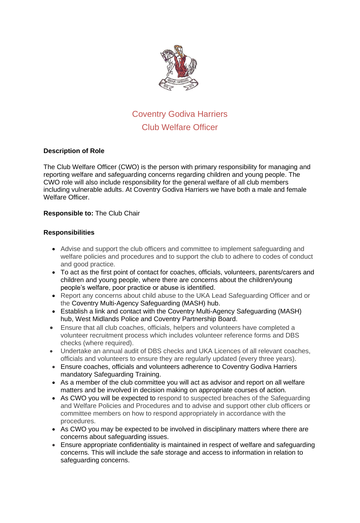

# Coventry Godiva Harriers Club Welfare Officer

## **Description of Role**

The Club Welfare Officer (CWO) is the person with primary responsibility for managing and reporting welfare and safeguarding concerns regarding children and young people. The CWO role will also include responsibility for the general welfare of all club members including vulnerable adults. At Coventry Godiva Harriers we have both a male and female Welfare Officer.

### **Responsible to:** The Club Chair

### **Responsibilities**

- Advise and support the club officers and committee to implement safeguarding and welfare policies and procedures and to support the club to adhere to codes of conduct and good practice.
- To act as the first point of contact for coaches, officials, volunteers, parents/carers and children and young people, where there are concerns about the children/young people's welfare, poor practice or abuse is identified.
- Report any concerns about child abuse to the UKA Lead Safeguarding Officer and or the Coventry Multi-Agency Safeguarding (MASH) hub.
- Establish a link and contact with the Coventry Multi-Agency Safeguarding (MASH) hub, West Midlands Police and Coventry Partnership Board.
- Ensure that all club coaches, officials, helpers and volunteers have completed a volunteer recruitment process which includes volunteer reference forms and DBS checks (where required).
- Undertake an annual audit of DBS checks and UKA Licences of all relevant coaches, officials and volunteers to ensure they are regularly updated (every three years).
- Ensure coaches, officials and volunteers adherence to Coventry Godiva Harriers mandatory Safeguarding Training.
- As a member of the club committee you will act as advisor and report on all welfare matters and be involved in decision making on appropriate courses of action.
- As CWO you will be expected to respond to suspected breaches of the Safeguarding and Welfare Policies and Procedures and to advise and support other club officers or committee members on how to respond appropriately in accordance with the procedures.
- As CWO you may be expected to be involved in disciplinary matters where there are concerns about safeguarding issues.
- Ensure appropriate confidentiality is maintained in respect of welfare and safeguarding concerns. This will include the safe storage and access to information in relation to safeguarding concerns.